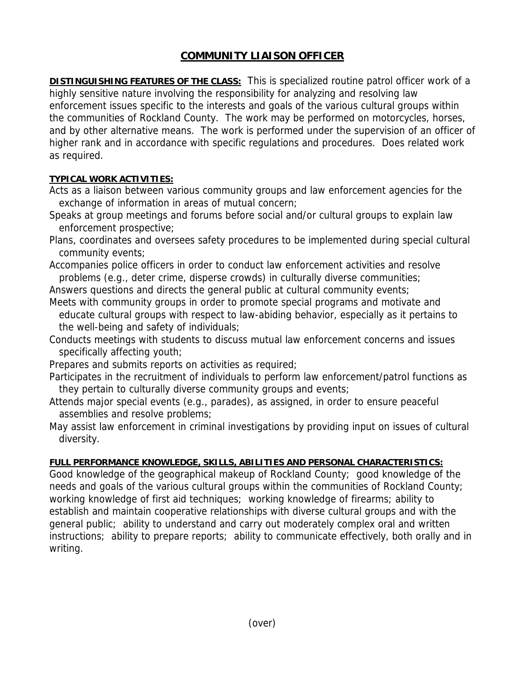## **COMMUNITY LIAISON OFFICER**

**DISTINGUISHING FEATURES OF THE CLASS:** This is specialized routine patrol officer work of a highly sensitive nature involving the responsibility for analyzing and resolving law enforcement issues specific to the interests and goals of the various cultural groups within the communities of Rockland County. The work may be performed on motorcycles, horses, and by other alternative means. The work is performed under the supervision of an officer of higher rank and in accordance with specific regulations and procedures. Does related work as required.

## **TYPICAL WORK ACTIVITIES:**

Acts as a liaison between various community groups and law enforcement agencies for the exchange of information in areas of mutual concern;

- Speaks at group meetings and forums before social and/or cultural groups to explain law enforcement prospective;
- Plans, coordinates and oversees safety procedures to be implemented during special cultural community events;

Accompanies police officers in order to conduct law enforcement activities and resolve problems (e.g., deter crime, disperse crowds) in culturally diverse communities;

Answers questions and directs the general public at cultural community events;

Meets with community groups in order to promote special programs and motivate and educate cultural groups with respect to law-abiding behavior, especially as it pertains to the well-being and safety of individuals;

Conducts meetings with students to discuss mutual law enforcement concerns and issues specifically affecting youth;

Prepares and submits reports on activities as required;

- Participates in the recruitment of individuals to perform law enforcement/patrol functions as they pertain to culturally diverse community groups and events;
- Attends major special events (e.g., parades), as assigned, in order to ensure peaceful assemblies and resolve problems;

May assist law enforcement in criminal investigations by providing input on issues of cultural diversity.

## **FULL PERFORMANCE KNOWLEDGE, SKILLS, ABILITIES AND PERSONAL CHARACTERISTICS:**

Good knowledge of the geographical makeup of Rockland County; good knowledge of the needs and goals of the various cultural groups within the communities of Rockland County; working knowledge of first aid techniques; working knowledge of firearms; ability to establish and maintain cooperative relationships with diverse cultural groups and with the general public; ability to understand and carry out moderately complex oral and written instructions; ability to prepare reports; ability to communicate effectively, both orally and in writing.